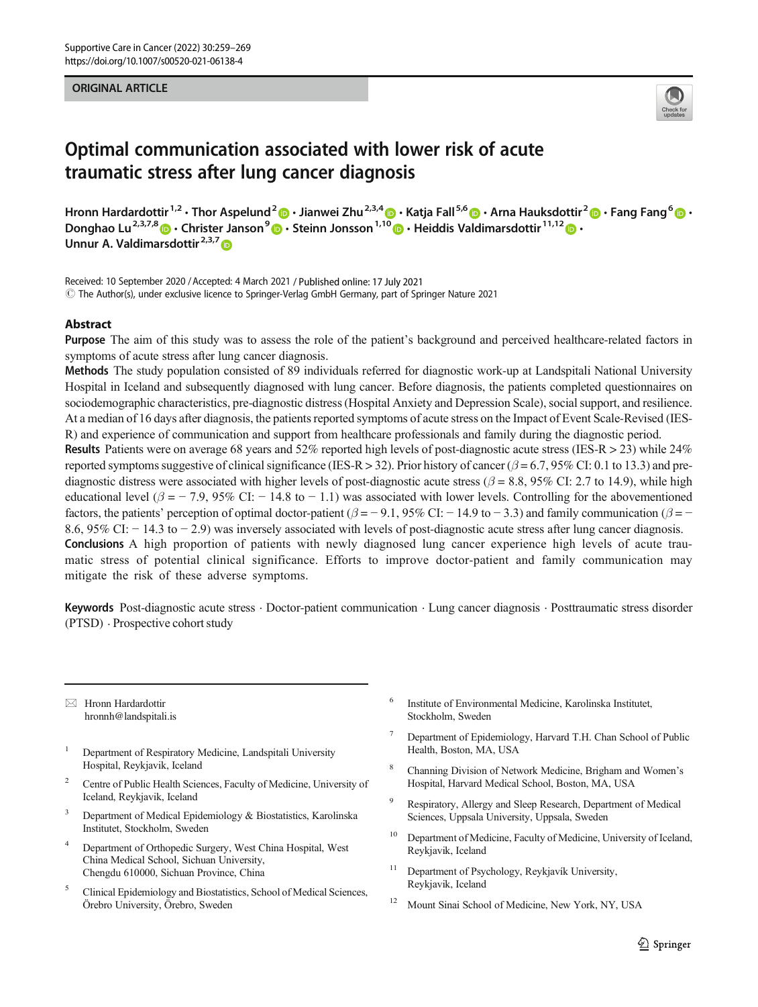#### ORIGINAL ARTICLE



# Optimal communication associated with lower risk of acute traumatic stress after lung cancer diagnosis

Hronn Hardardottir<sup>1,2</sup> • Thor Aspelund<sup>2</sup>  $\cdot$  Jianwei Zhu<sup>2,3,4</sup>  $\cdot$  Katia Fall<sup>5,6</sup>  $\cdot$  Arna Hauksdottir<sup>2</sup>  $\cdot$  Fang Fang<sup>6</sup>  $\cdot$   $\cdot$ Donghao Lu<sup>2,3,7,8</sup>  $\bullet \cdot$  Christer Janson<sup>9</sup>  $\bullet \cdot$  Steinn Jonsson<sup>1,10</sup>  $\bullet \cdot$  Heiddis Valdimarsdottir<sup>11,12</sup>  $\bullet \cdot$ Unnur A. Valdimarsdottir<sup>2,3,7</sup>

Received: 10 September 2020 /Accepted: 4 March 2021 / Published online: 17 July 2021  $\copyright$  The Author(s), under exclusive licence to Springer-Verlag GmbH Germany, part of Springer Nature 2021

#### **Abstract**

Purpose The aim of this study was to assess the role of the patient's background and perceived healthcare-related factors in symptoms of acute stress after lung cancer diagnosis.

Methods The study population consisted of 89 individuals referred for diagnostic work-up at Landspitali National University Hospital in Iceland and subsequently diagnosed with lung cancer. Before diagnosis, the patients completed questionnaires on sociodemographic characteristics, pre-diagnostic distress (Hospital Anxiety and Depression Scale), social support, and resilience. At a median of 16 days after diagnosis, the patients reported symptoms of acute stress on the Impact of Event Scale-Revised (IES-R) and experience of communication and support from healthcare professionals and family during the diagnostic period.

Results Patients were on average 68 years and 52% reported high levels of post-diagnostic acute stress (IES-R > 23) while 24% reported symptoms suggestive of clinical significance (IES-R > 32). Prior history of cancer ( $\beta$  = 6.7, 95% CI: 0.1 to 13.3) and prediagnostic distress were associated with higher levels of post-diagnostic acute stress ( $\beta$  = 8.8, 95% CI: 2.7 to 14.9), while high educational level ( $\beta$  = − 7.9, 95% CI: − 14.8 to − 1.1) was associated with lower levels. Controlling for the abovementioned factors, the patients' perception of optimal doctor-patient ( $\beta = -9.1$ , 95% CI: − 14.9 to − 3.3) and family communication ( $\beta = -$ 8.6, 95% CI: − 14.3 to − 2.9) was inversely associated with levels of post-diagnostic acute stress after lung cancer diagnosis. Conclusions A high proportion of patients with newly diagnosed lung cancer experience high levels of acute traumatic stress of potential clinical significance. Efforts to improve doctor-patient and family communication may mitigate the risk of these adverse symptoms.

Keywords Post-diagnostic acute stress . Doctor-patient communication . Lung cancer diagnosis . Posttraumatic stress disorder (PTSD) . Prospective cohort study

 $\boxtimes$  Hronn Hardardottir [hronnh@landspitali.is](mailto:hronnh@landspitali.is)

- <sup>1</sup> Department of Respiratory Medicine, Landspitali University Hospital, Reykjavik, Iceland
- <sup>2</sup> Centre of Public Health Sciences, Faculty of Medicine, University of Iceland, Reykjavik, Iceland
- <sup>3</sup> Department of Medical Epidemiology  $\&$  Biostatistics, Karolinska Institutet, Stockholm, Sweden
- <sup>4</sup> Department of Orthopedic Surgery, West China Hospital, West China Medical School, Sichuan University, Chengdu 610000, Sichuan Province, China
- <sup>5</sup> Clinical Epidemiology and Biostatistics, School of Medical Sciences, Örebro University, Örebro, Sweden
- <sup>6</sup> Institute of Environmental Medicine, Karolinska Institutet, Stockholm, Sweden
- <sup>7</sup> Department of Epidemiology, Harvard T.H. Chan School of Public Health, Boston, MA, USA
- <sup>8</sup> Channing Division of Network Medicine, Brigham and Women's Hospital, Harvard Medical School, Boston, MA, USA
- <sup>9</sup> Respiratory, Allergy and Sleep Research, Department of Medical Sciences, Uppsala University, Uppsala, Sweden
- <sup>10</sup> Department of Medicine, Faculty of Medicine, University of Iceland, Reykjavik, Iceland
- <sup>11</sup> Department of Psychology, Reykjavík University, Reykjavik, Iceland
- Mount Sinai School of Medicine, New York, NY, USA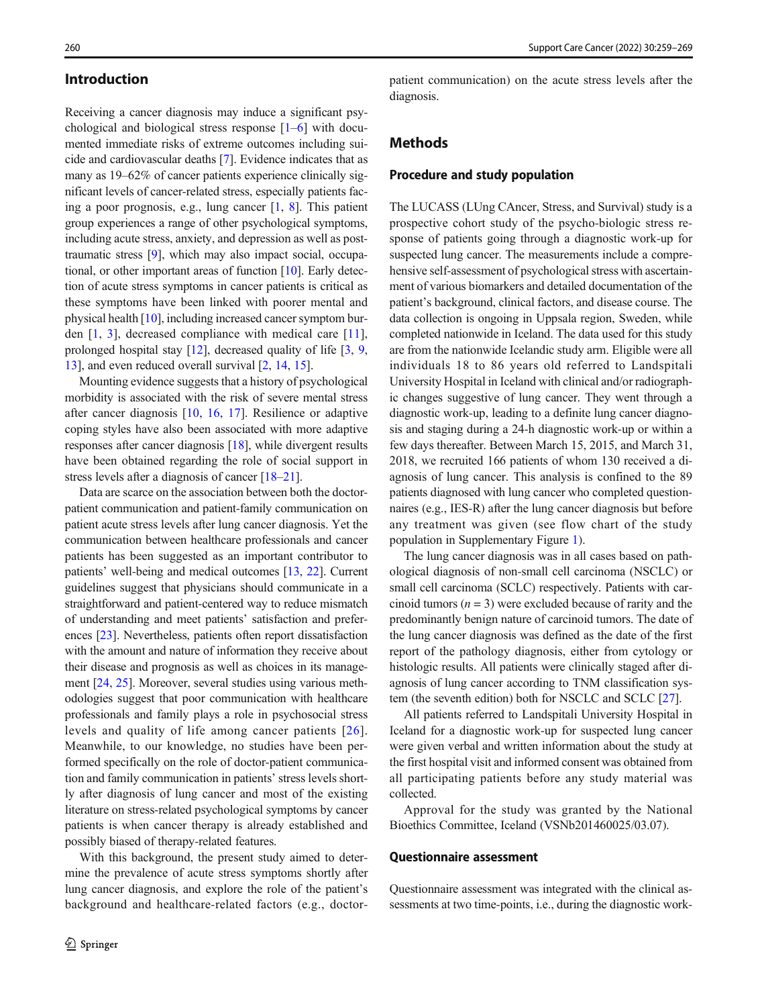## Introduction

Receiving a cancer diagnosis may induce a significant psychological and biological stress response [[1](#page-8-0)–[6\]](#page-8-0) with documented immediate risks of extreme outcomes including suicide and cardiovascular deaths [[7](#page-8-0)]. Evidence indicates that as many as 19–62% of cancer patients experience clinically significant levels of cancer-related stress, especially patients facing a poor prognosis, e.g., lung cancer [[1,](#page-8-0) [8\]](#page-8-0). This patient group experiences a range of other psychological symptoms, including acute stress, anxiety, and depression as well as posttraumatic stress [\[9\]](#page-9-0), which may also impact social, occupational, or other important areas of function [[10\]](#page-9-0). Early detection of acute stress symptoms in cancer patients is critical as these symptoms have been linked with poorer mental and physical health [[10\]](#page-9-0), including increased cancer symptom burden [[1,](#page-8-0) [3](#page-8-0)], decreased compliance with medical care [\[11](#page-9-0)], prolonged hospital stay [[12\]](#page-9-0), decreased quality of life [\[3,](#page-8-0) [9,](#page-9-0) [13\]](#page-9-0), and even reduced overall survival [\[2](#page-8-0), [14,](#page-9-0) [15\]](#page-9-0).

Mounting evidence suggests that a history of psychological morbidity is associated with the risk of severe mental stress after cancer diagnosis [[10,](#page-9-0) [16,](#page-9-0) [17](#page-9-0)]. Resilience or adaptive coping styles have also been associated with more adaptive responses after cancer diagnosis [\[18\]](#page-9-0), while divergent results have been obtained regarding the role of social support in stress levels after a diagnosis of cancer [[18](#page-9-0)–[21](#page-9-0)].

Data are scarce on the association between both the doctorpatient communication and patient-family communication on patient acute stress levels after lung cancer diagnosis. Yet the communication between healthcare professionals and cancer patients has been suggested as an important contributor to patients' well-being and medical outcomes [[13,](#page-9-0) [22\]](#page-9-0). Current guidelines suggest that physicians should communicate in a straightforward and patient-centered way to reduce mismatch of understanding and meet patients' satisfaction and preferences [[23](#page-9-0)]. Nevertheless, patients often report dissatisfaction with the amount and nature of information they receive about their disease and prognosis as well as choices in its management [\[24,](#page-9-0) [25\]](#page-9-0). Moreover, several studies using various methodologies suggest that poor communication with healthcare professionals and family plays a role in psychosocial stress levels and quality of life among cancer patients [[26\]](#page-9-0). Meanwhile, to our knowledge, no studies have been performed specifically on the role of doctor-patient communication and family communication in patients' stress levels shortly after diagnosis of lung cancer and most of the existing literature on stress-related psychological symptoms by cancer patients is when cancer therapy is already established and possibly biased of therapy-related features.

With this background, the present study aimed to determine the prevalence of acute stress symptoms shortly after lung cancer diagnosis, and explore the role of the patient's background and healthcare-related factors (e.g., doctorpatient communication) on the acute stress levels after the diagnosis.

# Methods

#### Procedure and study population

The LUCASS (LUng CAncer, Stress, and Survival) study is a prospective cohort study of the psycho-biologic stress response of patients going through a diagnostic work-up for suspected lung cancer. The measurements include a comprehensive self-assessment of psychological stress with ascertainment of various biomarkers and detailed documentation of the patient's background, clinical factors, and disease course. The data collection is ongoing in Uppsala region, Sweden, while completed nationwide in Iceland. The data used for this study are from the nationwide Icelandic study arm. Eligible were all individuals 18 to 86 years old referred to Landspitali University Hospital in Iceland with clinical and/or radiographic changes suggestive of lung cancer. They went through a diagnostic work-up, leading to a definite lung cancer diagnosis and staging during a 24-h diagnostic work-up or within a few days thereafter. Between March 15, 2015, and March 31, 2018, we recruited 166 patients of whom 130 received a diagnosis of lung cancer. This analysis is confined to the 89 patients diagnosed with lung cancer who completed questionnaires (e.g., IES-R) after the lung cancer diagnosis but before any treatment was given (see flow chart of the study population in Supplementary Figure 1).

The lung cancer diagnosis was in all cases based on pathological diagnosis of non-small cell carcinoma (NSCLC) or small cell carcinoma (SCLC) respectively. Patients with carcinoid tumors  $(n = 3)$  were excluded because of rarity and the predominantly benign nature of carcinoid tumors. The date of the lung cancer diagnosis was defined as the date of the first report of the pathology diagnosis, either from cytology or histologic results. All patients were clinically staged after diagnosis of lung cancer according to TNM classification system (the seventh edition) both for NSCLC and SCLC [[27](#page-9-0)].

All patients referred to Landspitali University Hospital in Iceland for a diagnostic work-up for suspected lung cancer were given verbal and written information about the study at the first hospital visit and informed consent was obtained from all participating patients before any study material was collected.

Approval for the study was granted by the National Bioethics Committee, Iceland (VSNb201460025/03.07).

#### Questionnaire assessment

Questionnaire assessment was integrated with the clinical assessments at two time-points, i.e., during the diagnostic work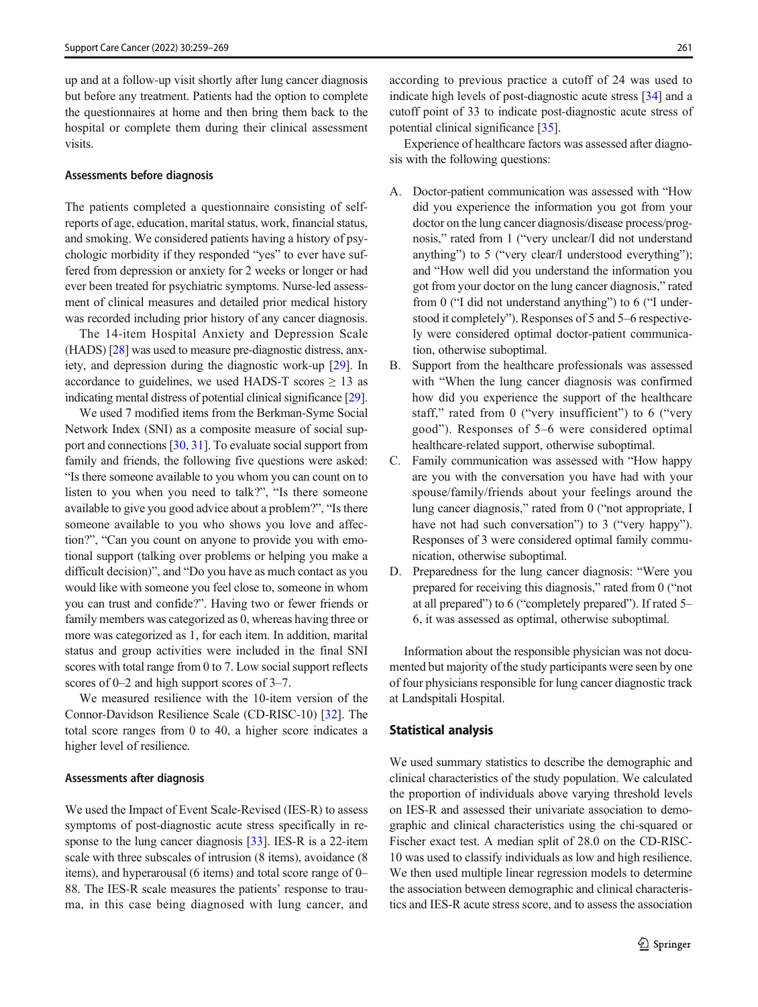up and at a follow-up visit shortly after lung cancer diagnosis but before any treatment. Patients had the option to complete the questionnaires at home and then bring them back to the hospital or complete them during their clinical assessment visits.

#### Assessments before diagnosis

The patients completed a questionnaire consisting of selfreports of age, education, marital status, work, financial status, and smoking. We considered patients having a history of psychologic morbidity if they responded "yes" to ever have suffered from depression or anxiety for 2 weeks or longer or had ever been treated for psychiatric symptoms. Nurse-led assessment of clinical measures and detailed prior medical history was recorded including prior history of any cancer diagnosis.

The 14-item Hospital Anxiety and Depression Scale (HADS) [[28](#page-9-0)] was used to measure pre-diagnostic distress, anxiety, and depression during the diagnostic work-up [\[29\]](#page-9-0). In accordance to guidelines, we used HADS-T scores  $\geq$  13 as indicating mental distress of potential clinical significance [\[29\]](#page-9-0).

We used 7 modified items from the Berkman-Syme Social Network Index (SNI) as a composite measure of social support and connections [\[30,](#page-9-0) [31](#page-9-0)]. To evaluate social support from family and friends, the following five questions were asked: "Is there someone available to you whom you can count on to listen to you when you need to talk?", "Is there someone available to give you good advice about a problem?", "Is there someone available to you who shows you love and affection?", "Can you count on anyone to provide you with emotional support (talking over problems or helping you make a difficult decision)", and "Do you have as much contact as you would like with someone you feel close to, someone in whom you can trust and confide?". Having two or fewer friends or family members was categorized as 0, whereas having three or more was categorized as 1, for each item. In addition, marital status and group activities were included in the final SNI scores with total range from 0 to 7. Low social support reflects scores of 0–2 and high support scores of 3–7.

We measured resilience with the 10-item version of the Connor-Davidson Resilience Scale (CD-RISC-10) [\[32](#page-9-0)]. The total score ranges from 0 to 40, a higher score indicates a higher level of resilience.

#### Assessments after diagnosis

We used the Impact of Event Scale-Revised (IES-R) to assess symptoms of post-diagnostic acute stress specifically in re-sponse to the lung cancer diagnosis [\[33\]](#page-9-0). IES-R is a 22-item scale with three subscales of intrusion (8 items), avoidance (8 items), and hyperarousal (6 items) and total score range of 0– 88. The IES-R scale measures the patients' response to trauma, in this case being diagnosed with lung cancer, and

according to previous practice a cutoff of 24 was used to indicate high levels of post-diagnostic acute stress [\[34](#page-9-0)] and a cutoff point of 33 to indicate post-diagnostic acute stress of potential clinical significance [\[35](#page-9-0)].

Experience of healthcare factors was assessed after diagnosis with the following questions:

- A. Doctor-patient communication was assessed with "How did you experience the information you got from your doctor on the lung cancer diagnosis/disease process/prognosis," rated from 1 ("very unclear/I did not understand anything") to 5 ("very clear/I understood everything"); and "How well did you understand the information you got from your doctor on the lung cancer diagnosis," rated from 0 ("I did not understand anything") to 6 ("I understood it completely"). Responses of 5 and 5–6 respectively were considered optimal doctor-patient communication, otherwise suboptimal.
- B. Support from the healthcare professionals was assessed with "When the lung cancer diagnosis was confirmed how did you experience the support of the healthcare staff," rated from 0 ("very insufficient") to 6 ("very good"). Responses of 5–6 were considered optimal healthcare-related support, otherwise suboptimal.
- C. Family communication was assessed with "How happy are you with the conversation you have had with your spouse/family/friends about your feelings around the lung cancer diagnosis," rated from 0 ("not appropriate, I have not had such conversation") to 3 ("very happy"). Responses of 3 were considered optimal family communication, otherwise suboptimal.
- D. Preparedness for the lung cancer diagnosis: "Were you prepared for receiving this diagnosis," rated from 0 ("not at all prepared") to 6 ("completely prepared"). If rated 5– 6, it was assessed as optimal, otherwise suboptimal.

Information about the responsible physician was not documented but majority of the study participants were seen by one of four physicians responsible for lung cancer diagnostic track at Landspitali Hospital.

#### Statistical analysis

We used summary statistics to describe the demographic and clinical characteristics of the study population. We calculated the proportion of individuals above varying threshold levels on IES-R and assessed their univariate association to demographic and clinical characteristics using the chi-squared or Fischer exact test. A median split of 28.0 on the CD-RISC-10 was used to classify individuals as low and high resilience. We then used multiple linear regression models to determine the association between demographic and clinical characteristics and IES-R acute stress score, and to assess the association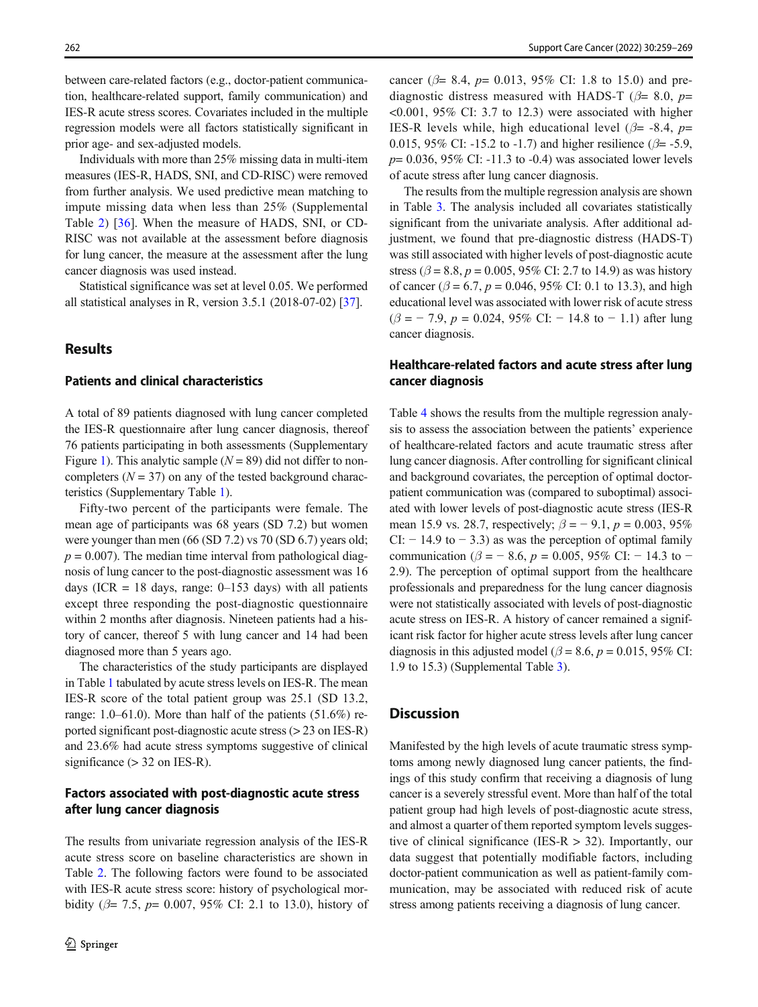between care-related factors (e.g., doctor-patient communication, healthcare-related support, family communication) and IES-R acute stress scores. Covariates included in the multiple regression models were all factors statistically significant in prior age- and sex-adjusted models.

Individuals with more than 25% missing data in multi-item measures (IES-R, HADS, SNI, and CD-RISC) were removed from further analysis. We used predictive mean matching to impute missing data when less than 25% (Supplemental Table 2) [[36\]](#page-9-0). When the measure of HADS, SNI, or CD-RISC was not available at the assessment before diagnosis for lung cancer, the measure at the assessment after the lung cancer diagnosis was used instead.

Statistical significance was set at level 0.05. We performed all statistical analyses in R, version 3.5.1 (2018-07-02) [[37](#page-9-0)].

# Results

## Patients and clinical characteristics

A total of 89 patients diagnosed with lung cancer completed the IES-R questionnaire after lung cancer diagnosis, thereof 76 patients participating in both assessments (Supplementary Figure 1). This analytic sample  $(N = 89)$  did not differ to noncompleters  $(N = 37)$  on any of the tested background characteristics (Supplementary Table 1).

Fifty-two percent of the participants were female. The mean age of participants was 68 years (SD 7.2) but women were younger than men (66 (SD 7.2) vs 70 (SD 6.7) years old;  $p = 0.007$ ). The median time interval from pathological diagnosis of lung cancer to the post-diagnostic assessment was 16 days (ICR = 18 days, range:  $0-153$  days) with all patients except three responding the post-diagnostic questionnaire within 2 months after diagnosis. Nineteen patients had a history of cancer, thereof 5 with lung cancer and 14 had been diagnosed more than 5 years ago.

The characteristics of the study participants are displayed in Table [1](#page-4-0) tabulated by acute stress levels on IES-R. The mean IES-R score of the total patient group was 25.1 (SD 13.2, range: 1.0–61.0). More than half of the patients (51.6%) reported significant post-diagnostic acute stress (> 23 on IES-R) and 23.6% had acute stress symptoms suggestive of clinical significance  $(> 32$  on IES-R).

# Factors associated with post-diagnostic acute stress after lung cancer diagnosis

The results from univariate regression analysis of the IES-R acute stress score on baseline characteristics are shown in Table [2](#page-6-0). The following factors were found to be associated with IES-R acute stress score: history of psychological morbidity ( $\beta$ = 7.5,  $p$ = 0.007, 95% CI: 2.1 to 13.0), history of cancer ( $\beta$ = 8.4,  $p$ = 0.013, 95% CI: 1.8 to 15.0) and prediagnostic distress measured with HADS-T ( $\beta$ = 8.0, p=  $\leq 0.001$ , 95% CI: 3.7 to 12.3) were associated with higher IES-R levels while, high educational level ( $\beta$ = -8.4, p= 0.015, 95% CI: -15.2 to -1.7) and higher resilience ( $\beta$ = -5.9,  $p= 0.036$ , 95% CI: -11.3 to -0.4) was associated lower levels of acute stress after lung cancer diagnosis.

The results from the multiple regression analysis are shown in Table [3.](#page-7-0) The analysis included all covariates statistically significant from the univariate analysis. After additional adjustment, we found that pre-diagnostic distress (HADS-T) was still associated with higher levels of post-diagnostic acute stress ( $\beta$  = 8.8,  $p$  = 0.005, 95% CI: 2.7 to 14.9) as was history of cancer ( $\beta = 6.7$ ,  $p = 0.046$ , 95% CI: 0.1 to 13.3), and high educational level was associated with lower risk of acute stress  $(\beta = -7.9, p = 0.024, 95\% \text{ CI: } -14.8 \text{ to } -1.1) \text{ after lung}$ cancer diagnosis.

# Healthcare-related factors and acute stress after lung cancer diagnosis

Table [4](#page-7-0) shows the results from the multiple regression analysis to assess the association between the patients' experience of healthcare-related factors and acute traumatic stress after lung cancer diagnosis. After controlling for significant clinical and background covariates, the perception of optimal doctorpatient communication was (compared to suboptimal) associated with lower levels of post-diagnostic acute stress (IES-R mean 15.9 vs. 28.7, respectively;  $\beta = -9.1$ ,  $p = 0.003$ , 95% CI:  $-14.9$  to  $-3.3$ ) as was the perception of optimal family communication ( $\beta$  = − 8.6, p = 0.005, 95% CI: − 14.3 to − 2.9). The perception of optimal support from the healthcare professionals and preparedness for the lung cancer diagnosis were not statistically associated with levels of post-diagnostic acute stress on IES-R. A history of cancer remained a significant risk factor for higher acute stress levels after lung cancer diagnosis in this adjusted model ( $\beta$  = 8.6, p = 0.015, 95% CI: 1.9 to 15.3) (Supplemental Table 3).

## **Discussion**

Manifested by the high levels of acute traumatic stress symptoms among newly diagnosed lung cancer patients, the findings of this study confirm that receiving a diagnosis of lung cancer is a severely stressful event. More than half of the total patient group had high levels of post-diagnostic acute stress, and almost a quarter of them reported symptom levels suggestive of clinical significance (IES-R  $>$  32). Importantly, our data suggest that potentially modifiable factors, including doctor-patient communication as well as patient-family communication, may be associated with reduced risk of acute stress among patients receiving a diagnosis of lung cancer.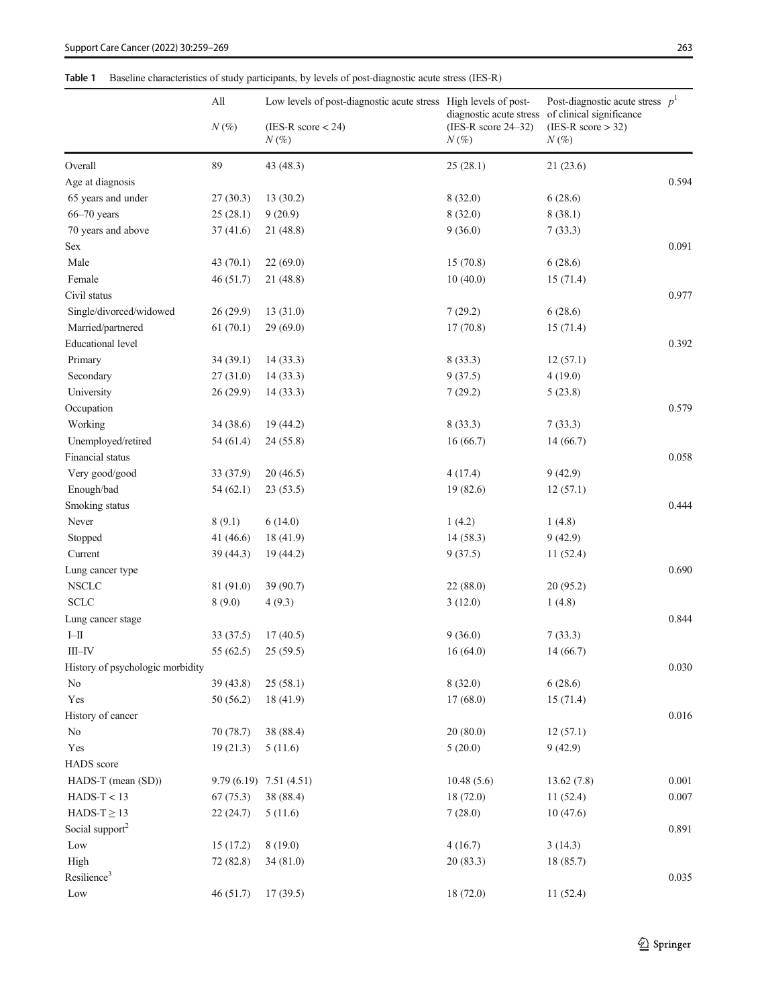# <span id="page-4-0"></span>Table 1 Baseline characteristics of study participants, by levels of post-diagnostic acute stress (IES-R)

|                                  | All         | Low levels of post-diagnostic acute stress High levels of post- |                                  | Post-diagnostic acute stress $p1$<br>diagnostic acute stress of clinical significance |           |
|----------------------------------|-------------|-----------------------------------------------------------------|----------------------------------|---------------------------------------------------------------------------------------|-----------|
|                                  | $N(\%)$     | $(IES-R score < 24)$<br>$N(\%)$                                 | $(IES-R score 24-32)$<br>$N(\%)$ | $(IES-R score > 32)$<br>$N\left(\%\right)$                                            |           |
| Overall                          | 89          | 43 (48.3)                                                       | 25(28.1)                         | 21(23.6)                                                                              |           |
| Age at diagnosis                 |             |                                                                 |                                  |                                                                                       | 0.594     |
| 65 years and under               | 27(30.3)    | 13 (30.2)                                                       | 8(32.0)                          | 6(28.6)                                                                               |           |
| $66 - 70$ years                  | 25(28.1)    | 9(20.9)                                                         | 8(32.0)                          | 8(38.1)                                                                               |           |
| 70 years and above               | 37(41.6)    | 21 (48.8)                                                       | 9(36.0)                          | 7(33.3)                                                                               |           |
| Sex                              |             |                                                                 |                                  |                                                                                       | 0.091     |
| Male                             | 43 $(70.1)$ | 22(69.0)                                                        | 15(70.8)                         | 6(28.6)                                                                               |           |
| Female                           | 46(51.7)    | 21 (48.8)                                                       | 10(40.0)                         | 15(71.4)                                                                              |           |
| Civil status                     |             |                                                                 |                                  |                                                                                       | 0.977     |
| Single/divorced/widowed          | 26 (29.9)   | 13 (31.0)                                                       | 7(29.2)                          | 6(28.6)                                                                               |           |
| Married/partnered                | 61(70.1)    | 29(69.0)                                                        | 17(70.8)                         | 15(71.4)                                                                              |           |
| <b>Educational level</b>         |             |                                                                 |                                  |                                                                                       | 0.392     |
| Primary                          | 34(39.1)    | 14(33.3)                                                        | 8(33.3)                          | 12(57.1)                                                                              |           |
| Secondary                        | 27(31.0)    | 14(33.3)                                                        | 9(37.5)                          | 4(19.0)                                                                               |           |
| University                       | 26 (29.9)   | 14(33.3)                                                        | 7(29.2)                          | 5(23.8)                                                                               |           |
| Occupation                       |             |                                                                 |                                  |                                                                                       | 0.579     |
| Working                          | 34 (38.6)   | 19 (44.2)                                                       | 8(33.3)                          | 7(33.3)                                                                               |           |
| Unemployed/retired               | 54 (61.4)   | 24 (55.8)                                                       | 16(66.7)                         | 14(66.7)                                                                              |           |
| Financial status                 |             |                                                                 |                                  |                                                                                       | 0.058     |
| Very good/good                   | 33(37.9)    | 20(46.5)                                                        | 4(17.4)                          | 9(42.9)                                                                               |           |
| Enough/bad                       | 54(62.1)    | 23(53.5)                                                        | 19(82.6)                         | 12(57.1)                                                                              |           |
| Smoking status                   |             |                                                                 |                                  |                                                                                       | 0.444     |
| Never                            | 8(9.1)      | 6(14.0)                                                         | 1(4.2)                           | 1(4.8)                                                                                |           |
| Stopped                          | 41 $(46.6)$ | 18 (41.9)                                                       | 14(58.3)                         | 9(42.9)                                                                               |           |
| Current                          | 39 (44.3)   | 19 (44.2)                                                       | 9(37.5)                          | 11(52.4)                                                                              |           |
|                                  |             |                                                                 |                                  |                                                                                       | 0.690     |
| Lung cancer type                 |             | 39 (90.7)                                                       |                                  |                                                                                       |           |
| <b>NSCLC</b>                     | 81 (91.0)   |                                                                 | 22 (88.0)                        | 20(95.2)                                                                              |           |
| <b>SCLC</b>                      | 8(9.0)      | 4(9.3)                                                          | 3(12.0)                          | 1(4.8)                                                                                | 0.844     |
| Lung cancer stage                |             |                                                                 |                                  |                                                                                       |           |
| $\text{I--II}$                   | 33(37.5)    | 17(40.5)                                                        | 9(36.0)                          | 7(33.3)                                                                               |           |
| $\rm III\text{--}IV$             | 55 (62.5)   | 25(59.5)                                                        | 16(64.0)                         | 14(66.7)                                                                              |           |
| History of psychologic morbidity |             |                                                                 |                                  |                                                                                       | 0.030     |
| No                               | 39 (43.8)   | 25(58.1)                                                        | 8(32.0)                          | 6(28.6)                                                                               |           |
| Yes                              | 50(56.2)    | 18 (41.9)                                                       | 17(68.0)                         | 15(71.4)                                                                              |           |
| History of cancer                |             |                                                                 |                                  |                                                                                       | $0.016\,$ |
| No                               | 70 (78.7)   | 38 (88.4)                                                       | 20(80.0)                         | 12(57.1)                                                                              |           |
| Yes                              | 19(21.3)    | 5(11.6)                                                         | 5(20.0)                          | 9(42.9)                                                                               |           |
| <b>HADS</b> score                |             |                                                                 |                                  |                                                                                       |           |
| HADS-T (mean (SD))               |             | $9.79(6.19)$ $7.51(4.51)$                                       | 10.48(5.6)                       | 13.62(7.8)                                                                            | 0.001     |
| $HADS-T < 13$                    | 67(75.3)    | 38 (88.4)                                                       | 18 (72.0)                        | 11(52.4)                                                                              | $0.007\,$ |
| $HADS-T \geq 13$                 | 22(24.7)    | 5(11.6)                                                         | 7(28.0)                          | 10(47.6)                                                                              |           |
| Social support <sup>2</sup>      |             |                                                                 |                                  |                                                                                       | 0.891     |
| Low                              | 15(17.2)    | 8(19.0)                                                         | 4(16.7)                          | 3(14.3)                                                                               |           |
| High                             | 72 (82.8)   | 34 (81.0)                                                       | 20(83.3)                         | 18(85.7)                                                                              |           |
| Resilience <sup>3</sup>          |             |                                                                 |                                  |                                                                                       | 0.035     |
| Low                              | 46(51.7)    | 17(39.5)                                                        | 18 (72.0)                        | 11(52.4)                                                                              |           |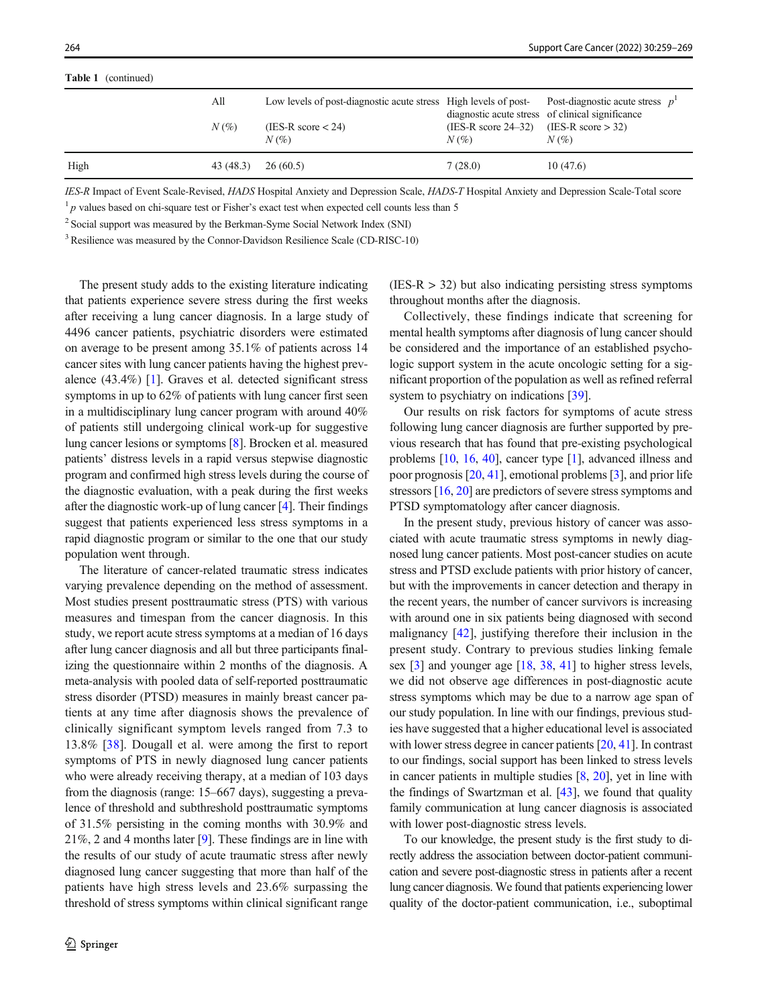Table 1 (continued)

| <b>LADIC L</b> (COMMITTELY) |           |                                                                                                      |                                                         |                                                  |
|-----------------------------|-----------|------------------------------------------------------------------------------------------------------|---------------------------------------------------------|--------------------------------------------------|
|                             | All       | Low levels of post-diagnostic acute stress High levels of post-<br>post-diagnostic acute stress $p1$ |                                                         | diagnostic acute stress of clinical significance |
|                             | $N(\%)$   | (IES-R score $<$ 24)<br>$N(\%)$                                                                      | (IES-R score $24-32$ ) (IES-R score $> 32$ )<br>$N(\%)$ | $N(\%)$                                          |
| High                        | 43 (48.3) | 26(60.5)                                                                                             | 7(28.0)                                                 | 10(47.6)                                         |

IES-R Impact of Event Scale-Revised, HADS Hospital Anxiety and Depression Scale, HADS-T Hospital Anxiety and Depression Scale-Total score

 $1<sup>1</sup>p$  values based on chi-square test or Fisher's exact test when expected cell counts less than 5

<sup>2</sup> Social support was measured by the Berkman-Syme Social Network Index (SNI)

<sup>3</sup> Resilience was measured by the Connor-Davidson Resilience Scale (CD-RISC-10)

The present study adds to the existing literature indicating that patients experience severe stress during the first weeks after receiving a lung cancer diagnosis. In a large study of 4496 cancer patients, psychiatric disorders were estimated on average to be present among 35.1% of patients across 14 cancer sites with lung cancer patients having the highest prevalence (43.4%) [\[1\]](#page-8-0). Graves et al. detected significant stress symptoms in up to 62% of patients with lung cancer first seen in a multidisciplinary lung cancer program with around 40% of patients still undergoing clinical work-up for suggestive lung cancer lesions or symptoms [\[8\]](#page-8-0). Brocken et al. measured patients' distress levels in a rapid versus stepwise diagnostic program and confirmed high stress levels during the course of the diagnostic evaluation, with a peak during the first weeks after the diagnostic work-up of lung cancer [[4\]](#page-8-0). Their findings suggest that patients experienced less stress symptoms in a rapid diagnostic program or similar to the one that our study population went through.

The literature of cancer-related traumatic stress indicates varying prevalence depending on the method of assessment. Most studies present posttraumatic stress (PTS) with various measures and timespan from the cancer diagnosis. In this study, we report acute stress symptoms at a median of 16 days after lung cancer diagnosis and all but three participants finalizing the questionnaire within 2 months of the diagnosis. A meta-analysis with pooled data of self-reported posttraumatic stress disorder (PTSD) measures in mainly breast cancer patients at any time after diagnosis shows the prevalence of clinically significant symptom levels ranged from 7.3 to 13.8% [[38\]](#page-9-0). Dougall et al. were among the first to report symptoms of PTS in newly diagnosed lung cancer patients who were already receiving therapy, at a median of 103 days from the diagnosis (range: 15–667 days), suggesting a prevalence of threshold and subthreshold posttraumatic symptoms of 31.5% persisting in the coming months with 30.9% and 21%, 2 and 4 months later [\[9](#page-9-0)]. These findings are in line with the results of our study of acute traumatic stress after newly diagnosed lung cancer suggesting that more than half of the patients have high stress levels and 23.6% surpassing the threshold of stress symptoms within clinical significant range

 $(IES-R > 32)$  but also indicating persisting stress symptoms throughout months after the diagnosis.

Collectively, these findings indicate that screening for mental health symptoms after diagnosis of lung cancer should be considered and the importance of an established psychologic support system in the acute oncologic setting for a significant proportion of the population as well as refined referral system to psychiatry on indications [\[39](#page-9-0)].

Our results on risk factors for symptoms of acute stress following lung cancer diagnosis are further supported by previous research that has found that pre-existing psychological problems [\[10](#page-9-0), [16,](#page-9-0) [40](#page-9-0)], cancer type [\[1\]](#page-8-0), advanced illness and poor prognosis [[20,](#page-9-0) [41\]](#page-10-0), emotional problems [\[3](#page-8-0)], and prior life stressors [\[16](#page-9-0), [20](#page-9-0)] are predictors of severe stress symptoms and PTSD symptomatology after cancer diagnosis.

In the present study, previous history of cancer was associated with acute traumatic stress symptoms in newly diagnosed lung cancer patients. Most post-cancer studies on acute stress and PTSD exclude patients with prior history of cancer, but with the improvements in cancer detection and therapy in the recent years, the number of cancer survivors is increasing with around one in six patients being diagnosed with second malignancy [\[42](#page-10-0)], justifying therefore their inclusion in the present study. Contrary to previous studies linking female sex [\[3](#page-8-0)] and younger age [\[18,](#page-9-0) [38](#page-9-0), [41\]](#page-10-0) to higher stress levels, we did not observe age differences in post-diagnostic acute stress symptoms which may be due to a narrow age span of our study population. In line with our findings, previous studies have suggested that a higher educational level is associated with lower stress degree in cancer patients [\[20,](#page-9-0) [41](#page-10-0)]. In contrast to our findings, social support has been linked to stress levels in cancer patients in multiple studies [[8,](#page-8-0) [20\]](#page-9-0), yet in line with the findings of Swartzman et al. [\[43](#page-10-0)], we found that quality family communication at lung cancer diagnosis is associated with lower post-diagnostic stress levels.

To our knowledge, the present study is the first study to directly address the association between doctor-patient communication and severe post-diagnostic stress in patients after a recent lung cancer diagnosis. We found that patients experiencing lower quality of the doctor-patient communication, i.e., suboptimal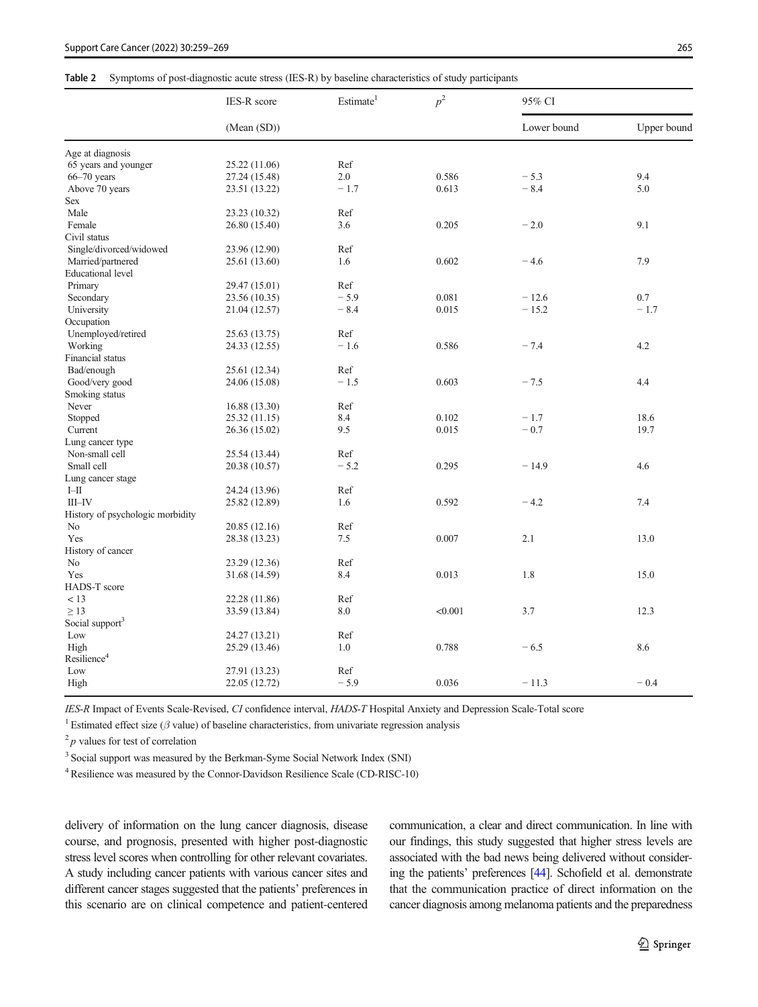## <span id="page-6-0"></span>Table 2 Symptoms of post-diagnostic acute stress (IES-R) by baseline characteristics of study participants

|                                  | <b>IES-R</b> score | Estimate <sup>1</sup> | $p^2$   | 95% CI      |             |
|----------------------------------|--------------------|-----------------------|---------|-------------|-------------|
|                                  | (Mean(SD))         |                       |         | Lower bound | Upper bound |
| Age at diagnosis                 |                    |                       |         |             |             |
| 65 years and younger             | 25.22 (11.06)      | Ref                   |         |             |             |
| $66 - 70$ years                  | 27.24 (15.48)      | 2.0                   | 0.586   | $-5.3$      | 9.4         |
| Above 70 years                   | 23.51 (13.22)      | $-1.7$                | 0.613   | $-8.4$      | 5.0         |
| Sex                              |                    |                       |         |             |             |
| Male                             | 23.23 (10.32)      | Ref                   |         |             |             |
| Female                           | 26.80 (15.40)      | 3.6                   | 0.205   | $-2.0$      | 9.1         |
| Civil status                     |                    |                       |         |             |             |
| Single/divorced/widowed          | 23.96 (12.90)      | Ref                   |         |             |             |
| Married/partnered                | 25.61 (13.60)      | 1.6                   | 0.602   | $-4.6$      | 7.9         |
| <b>Educational level</b>         |                    |                       |         |             |             |
| Primary                          | 29.47 (15.01)      | Ref                   |         |             |             |
| Secondary                        | 23.56 (10.35)      | $-5.9$                | 0.081   | $-12.6$     | 0.7         |
| University                       | 21.04 (12.57)      | $-8.4$                | 0.015   | $-15.2$     | $-1.7$      |
| Occupation                       |                    |                       |         |             |             |
| Unemployed/retired               | 25.63 (13.75)      | Ref                   |         |             |             |
| Working                          | 24.33 (12.55)      | $-1.6$                | 0.586   | $-7.4$      | 4.2         |
| Financial status                 |                    |                       |         |             |             |
| Bad/enough                       | 25.61 (12.34)      | Ref                   |         |             |             |
| Good/very good                   | 24.06 (15.08)      | $-1.5$                | 0.603   | $-7.5$      | 4.4         |
| Smoking status                   |                    |                       |         |             |             |
| Never                            | 16.88 (13.30)      | Ref                   |         |             |             |
| Stopped                          | 25.32 (11.15)      | 8.4                   | 0.102   | $-1.7$      | 18.6        |
| Current                          | 26.36 (15.02)      | 9.5                   | 0.015   | $-0.7$      | 19.7        |
| Lung cancer type                 |                    |                       |         |             |             |
| Non-small cell                   | 25.54 (13.44)      | Ref                   |         |             |             |
| Small cell                       | 20.38 (10.57)      | $-5.2$                | 0.295   | $-14.9$     | 4.6         |
| Lung cancer stage                |                    |                       |         |             |             |
| $I\!\!-\!\!II$                   | 24.24 (13.96)      | Ref                   |         |             |             |
| $III$ -IV                        | 25.82 (12.89)      | 1.6                   | 0.592   | $-4.2$      | 7.4         |
| History of psychologic morbidity |                    |                       |         |             |             |
| No                               | 20.85 (12.16)      | Ref                   |         |             |             |
| Yes                              | 28.38 (13.23)      | 7.5                   | 0.007   | 2.1         | 13.0        |
| History of cancer                |                    |                       |         |             |             |
| N <sub>0</sub>                   | 23.29 (12.36)      | Ref                   |         |             |             |
| Yes                              | 31.68 (14.59)      | 8.4                   | 0.013   | 1.8         | 15.0        |
| HADS-T score                     |                    |                       |         |             |             |
| < 13                             | 22.28 (11.86)      | Ref                   |         |             |             |
| $\geq$ 13                        | 33.59 (13.84)      | 8.0                   | < 0.001 | 3.7         | 12.3        |
| Social support <sup>3</sup>      |                    |                       |         |             |             |
| Low                              | 24.27 (13.21)      | Ref                   |         |             |             |
| High                             | 25.29 (13.46)      | 1.0                   | 0.788   | $-6.5$      | 8.6         |
| Resilience <sup>4</sup>          |                    |                       |         |             |             |
| Low                              | 27.91 (13.23)      | Ref                   |         |             |             |
| High                             | 22.05 (12.72)      | $-5.9$                | 0.036   | $-11.3$     | $-0.4$      |

IES-R Impact of Events Scale-Revised, CI confidence interval, HADS-T Hospital Anxiety and Depression Scale-Total score

<sup>1</sup> Estimated effect size ( $\beta$  value) of baseline characteristics, from univariate regression analysis

 $^{2}$  p values for test of correlation

<sup>3</sup> Social support was measured by the Berkman-Syme Social Network Index (SNI)

<sup>4</sup> Resilience was measured by the Connor-Davidson Resilience Scale (CD-RISC-10)

delivery of information on the lung cancer diagnosis, disease course, and prognosis, presented with higher post-diagnostic stress level scores when controlling for other relevant covariates. A study including cancer patients with various cancer sites and different cancer stages suggested that the patients' preferences in this scenario are on clinical competence and patient-centered communication, a clear and direct communication. In line with our findings, this study suggested that higher stress levels are associated with the bad news being delivered without considering the patients' preferences [\[44](#page-10-0)]. Schofield et al. demonstrate that the communication practice of direct information on the cancer diagnosis among melanoma patients and the preparedness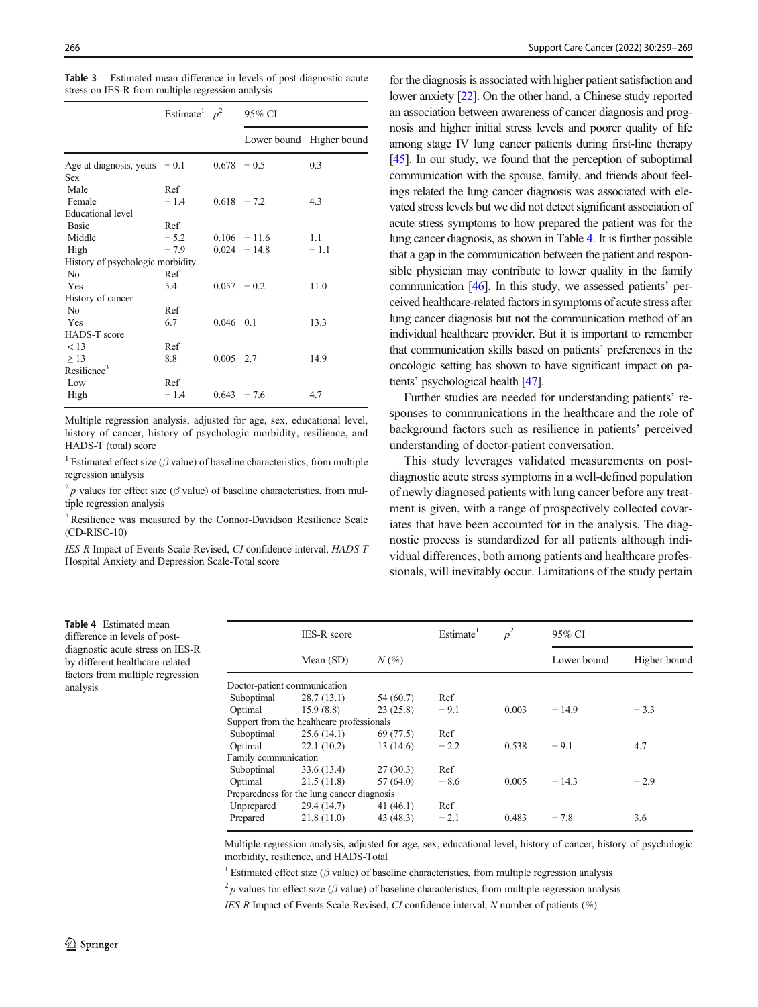<span id="page-7-0"></span>

| <b>Table 3</b> Estimated mean difference in levels of post-diagnostic acute |  |  |  |
|-----------------------------------------------------------------------------|--|--|--|
| stress on IES-R from multiple regression analysis                           |  |  |  |

|                                              | Estimate $p^2$ 95% CI |               |                |                          |  |
|----------------------------------------------|-----------------------|---------------|----------------|--------------------------|--|
|                                              |                       |               |                | Lower bound Higher bound |  |
| Age at diagnosis, years $-0.1$<br><b>Sex</b> |                       | $0.678 - 0.5$ |                | 0.3                      |  |
| Male<br>Female                               | Ref<br>$-1.4$         | $0.618 - 7.2$ |                | 4.3                      |  |
| <b>Educational level</b>                     |                       |               |                |                          |  |
| <b>Basic</b>                                 | Ref                   |               |                |                          |  |
| Middle                                       | $-5.2$                |               | $0.106 - 11.6$ | 1.1                      |  |
| High                                         | $-7.9$                |               | $0.024 - 14.8$ | $-1.1$                   |  |
| History of psychologic morbidity             |                       |               |                |                          |  |
| N <sub>0</sub>                               | Ref                   |               |                |                          |  |
| Yes                                          | 5.4                   |               | $0.057 - 0.2$  | 11.0                     |  |
| History of cancer                            |                       |               |                |                          |  |
| N <sub>0</sub>                               | Ref                   |               |                |                          |  |
| Yes                                          | 6.7                   | $0.046$ 0.1   |                | 13.3                     |  |
| HADS-T score                                 |                       |               |                |                          |  |
| < 13                                         | Ref                   |               |                |                          |  |
| $\geq$ 13                                    | 8.8                   | $0.005$ 2.7   |                | 14.9                     |  |
| Resilience <sup>3</sup>                      |                       |               |                |                          |  |
| Low                                          | Ref                   |               |                |                          |  |
| High                                         | $-1.4$                | $0.643 - 7.6$ |                | 4.7                      |  |

Multiple regression analysis, adjusted for age, sex, educational level, history of cancer, history of psychologic morbidity, resilience, and HADS-T (total) score

<sup>1</sup> Estimated effect size ( $\beta$  value) of baseline characteristics, from multiple regression analysis

<sup>2</sup> p values for effect size ( $\beta$  value) of baseline characteristics, from multiple regression analysis

<sup>3</sup> Resilience was measured by the Connor-Davidson Resilience Scale (CD-RISC-10)

IES-R Impact of Events Scale-Revised, CI confidence interval, HADS-T Hospital Anxiety and Depression Scale-Total score

for the diagnosis is associated with higher patient satisfaction and lower anxiety [\[22\]](#page-9-0). On the other hand, a Chinese study reported an association between awareness of cancer diagnosis and prognosis and higher initial stress levels and poorer quality of life among stage IV lung cancer patients during first-line therapy [\[45](#page-10-0)]. In our study, we found that the perception of suboptimal communication with the spouse, family, and friends about feelings related the lung cancer diagnosis was associated with elevated stress levels but we did not detect significant association of acute stress symptoms to how prepared the patient was for the lung cancer diagnosis, as shown in Table 4. It is further possible that a gap in the communication between the patient and responsible physician may contribute to lower quality in the family communication [\[46\]](#page-10-0). In this study, we assessed patients' perceived healthcare-related factors in symptoms of acute stress after lung cancer diagnosis but not the communication method of an individual healthcare provider. But it is important to remember that communication skills based on patients' preferences in the oncologic setting has shown to have significant impact on patients' psychological health [\[47](#page-10-0)].

Further studies are needed for understanding patients' responses to communications in the healthcare and the role of background factors such as resilience in patients' perceived understanding of doctor-patient conversation.

This study leverages validated measurements on postdiagnostic acute stress symptoms in a well-defined population of newly diagnosed patients with lung cancer before any treatment is given, with a range of prospectively collected covariates that have been accounted for in the analysis. The diagnostic process is standardized for all patients although individual differences, both among patients and healthcare professionals, will inevitably occur. Limitations of the study pertain

Table 4 Estimated mean difference in levels of postdiagnostic acute stress on IES-R by different healthcare-related factors from multiple regression analysis

|                      | <b>IES-R</b> score                         |           | Estimate <sup>1</sup> | $p^2$ | 95% CI      |              |
|----------------------|--------------------------------------------|-----------|-----------------------|-------|-------------|--------------|
|                      | Mean (SD)                                  | $N(\%)$   |                       |       | Lower bound | Higher bound |
|                      | Doctor-patient communication               |           |                       |       |             |              |
| Suboptimal           | 28.7(13.1)                                 | 54 (60.7) | Ref                   |       |             |              |
| Optimal              | 15.9(8.8)                                  | 23(25.8)  | $-9.1$                | 0.003 | $-14.9$     | $-3.3$       |
|                      | Support from the healthcare professionals  |           |                       |       |             |              |
| Suboptimal           | 25.6(14.1)                                 | 69 (77.5) | Ref                   |       |             |              |
| Optimal              | 22.1(10.2)                                 | 13(14.6)  | $-2.2$                | 0.538 | $-9.1$      | 4.7          |
| Family communication |                                            |           |                       |       |             |              |
| Suboptimal           | 33.6 (13.4)                                | 27(30.3)  | Ref                   |       |             |              |
| Optimal              | 21.5(11.8)                                 | 57(64.0)  | $-8.6$                | 0.005 | $-14.3$     | $-2.9$       |
|                      | Preparedness for the lung cancer diagnosis |           |                       |       |             |              |
| Unprepared           | 29.4 (14.7)                                | 41(46.1)  | Ref                   |       |             |              |
| Prepared             | 21.8(11.0)                                 | 43 (48.3) | $-2.1$                | 0.483 | $-7.8$      | 3.6          |

Multiple regression analysis, adjusted for age, sex, educational level, history of cancer, history of psychologic morbidity, resilience, and HADS-Total

<sup>1</sup> Estimated effect size ( $\beta$  value) of baseline characteristics, from multiple regression analysis

<sup>2</sup> p values for effect size ( $\beta$  value) of baseline characteristics, from multiple regression analysis

IES-R Impact of Events Scale-Revised, CI confidence interval, N number of patients (%)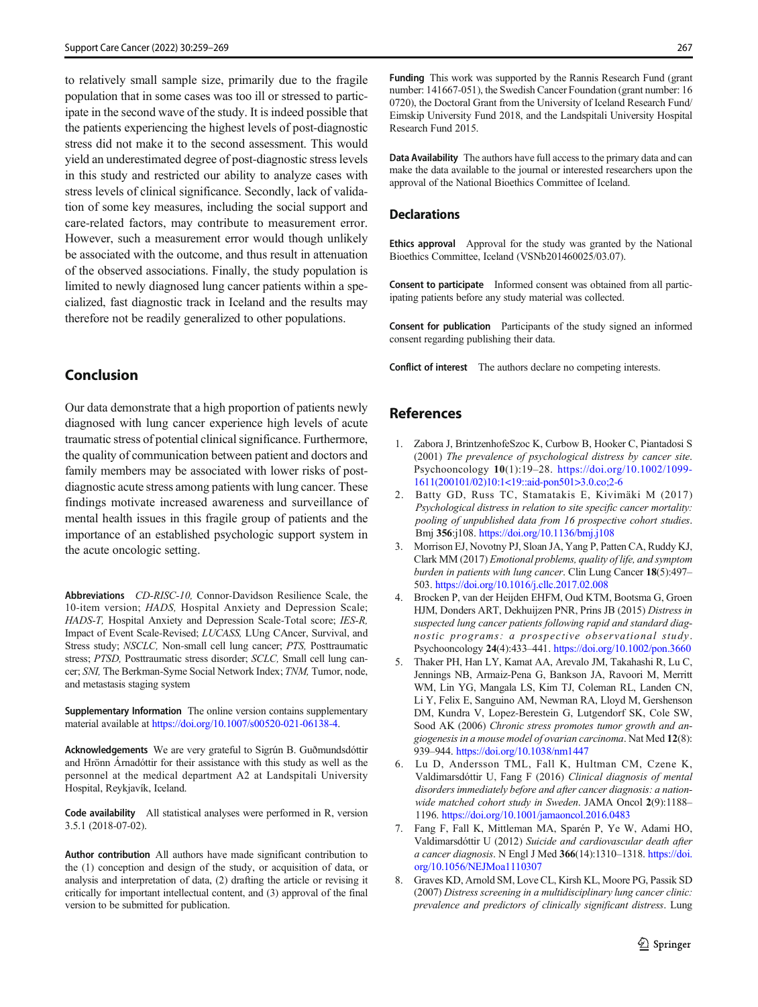<span id="page-8-0"></span>to relatively small sample size, primarily due to the fragile population that in some cases was too ill or stressed to participate in the second wave of the study. It is indeed possible that the patients experiencing the highest levels of post-diagnostic stress did not make it to the second assessment. This would yield an underestimated degree of post-diagnostic stress levels in this study and restricted our ability to analyze cases with stress levels of clinical significance. Secondly, lack of validation of some key measures, including the social support and care-related factors, may contribute to measurement error. However, such a measurement error would though unlikely be associated with the outcome, and thus result in attenuation of the observed associations. Finally, the study population is limited to newly diagnosed lung cancer patients within a specialized, fast diagnostic track in Iceland and the results may therefore not be readily generalized to other populations.

# Conclusion

Our data demonstrate that a high proportion of patients newly diagnosed with lung cancer experience high levels of acute traumatic stress of potential clinical significance. Furthermore, the quality of communication between patient and doctors and family members may be associated with lower risks of postdiagnostic acute stress among patients with lung cancer. These findings motivate increased awareness and surveillance of mental health issues in this fragile group of patients and the importance of an established psychologic support system in the acute oncologic setting.

Abbreviations CD-RISC-10, Connor-Davidson Resilience Scale, the 10-item version; HADS, Hospital Anxiety and Depression Scale; HADS-T, Hospital Anxiety and Depression Scale-Total score; IES-R, Impact of Event Scale-Revised; LUCASS, LUng CAncer, Survival, and Stress study; NSCLC, Non-small cell lung cancer; PTS, Posttraumatic stress; PTSD, Posttraumatic stress disorder; SCLC, Small cell lung cancer; SNI, The Berkman-Syme Social Network Index; TNM, Tumor, node, and metastasis staging system

Supplementary Information The online version contains supplementary material available at <https://doi.org/10.1007/s00520-021-06138-4>.

Acknowledgements We are very grateful to Sigrún B. Guðmundsdóttir and Hrönn Árnadóttir for their assistance with this study as well as the personnel at the medical department A2 at Landspitali University Hospital, Reykjavík, Iceland.

Code availability All statistical analyses were performed in R, version 3.5.1 (2018-07-02).

Author contribution All authors have made significant contribution to the (1) conception and design of the study, or acquisition of data, or analysis and interpretation of data, (2) drafting the article or revising it critically for important intellectual content, and (3) approval of the final version to be submitted for publication.

Funding This work was supported by the Rannis Research Fund (grant number: 141667-051), the Swedish Cancer Foundation (grant number: 16 0720), the Doctoral Grant from the University of Iceland Research Fund/ Eimskip University Fund 2018, and the Landspitali University Hospital Research Fund 2015.

Data Availability The authors have full access to the primary data and can make the data available to the journal or interested researchers upon the approval of the National Bioethics Committee of Iceland.

#### **Declarations**

Ethics approval Approval for the study was granted by the National Bioethics Committee, Iceland (VSNb201460025/03.07).

Consent to participate Informed consent was obtained from all participating patients before any study material was collected.

Consent for publication Participants of the study signed an informed consent regarding publishing their data.

Conflict of interest The authors declare no competing interests.

# References

- 1. Zabora J, BrintzenhofeSzoc K, Curbow B, Hooker C, Piantadosi S (2001) The prevalence of psychological distress by cancer site. Psychooncology 10(1):19–28. [https://doi.org/10.1002/1099-](https://doi.org/10.1002/1099-1611(200101/02)10:1<19::aid-pon501>3.0.co;2-6) [1611\(200101/02\)10:1<19::aid-pon501>3.0.co;2-6](https://doi.org/10.1002/1099-1611(200101/02)10:1<19::aid-pon501>3.0.co;2-6)
- 2. Batty GD, Russ TC, Stamatakis E, Kivimäki M (2017) Psychological distress in relation to site specific cancer mortality: pooling of unpublished data from 16 prospective cohort studies. Bmj 356:j108. <https://doi.org/10.1136/bmj.j108>
- 3. Morrison EJ, Novotny PJ, Sloan JA, Yang P, Patten CA, Ruddy KJ, Clark MM (2017) Emotional problems, quality of life, and symptom burden in patients with lung cancer. Clin Lung Cancer 18(5):497– 503. <https://doi.org/10.1016/j.cllc.2017.02.008>
- 4. Brocken P, van der Heijden EHFM, Oud KTM, Bootsma G, Groen HJM, Donders ART, Dekhuijzen PNR, Prins JB (2015) Distress in suspected lung cancer patients following rapid and standard diagnostic programs: a prospective observational study. Psychooncology 24(4):433–441. <https://doi.org/10.1002/pon.3660>
- 5. Thaker PH, Han LY, Kamat AA, Arevalo JM, Takahashi R, Lu C, Jennings NB, Armaiz-Pena G, Bankson JA, Ravoori M, Merritt WM, Lin YG, Mangala LS, Kim TJ, Coleman RL, Landen CN, Li Y, Felix E, Sanguino AM, Newman RA, Lloyd M, Gershenson DM, Kundra V, Lopez-Berestein G, Lutgendorf SK, Cole SW, Sood AK (2006) Chronic stress promotes tumor growth and angiogenesis in a mouse model of ovarian carcinoma. Nat Med 12(8): 939–944. <https://doi.org/10.1038/nm1447>
- 6. Lu D, Andersson TML, Fall K, Hultman CM, Czene K, Valdimarsdóttir U, Fang F (2016) Clinical diagnosis of mental disorders immediately before and after cancer diagnosis: a nationwide matched cohort study in Sweden. JAMA Oncol 2(9):1188– 1196. <https://doi.org/10.1001/jamaoncol.2016.0483>
- 7. Fang F, Fall K, Mittleman MA, Sparén P, Ye W, Adami HO, Valdimarsdóttir U (2012) Suicide and cardiovascular death after a cancer diagnosis. N Engl J Med 366(14):1310–1318. [https://doi.](https://doi.org/10.1056/NEJMoa1110307) [org/10.1056/NEJMoa1110307](https://doi.org/10.1056/NEJMoa1110307)
- 8. Graves KD, Arnold SM, Love CL, Kirsh KL, Moore PG, Passik SD (2007) Distress screening in a multidisciplinary lung cancer clinic: prevalence and predictors of clinically significant distress. Lung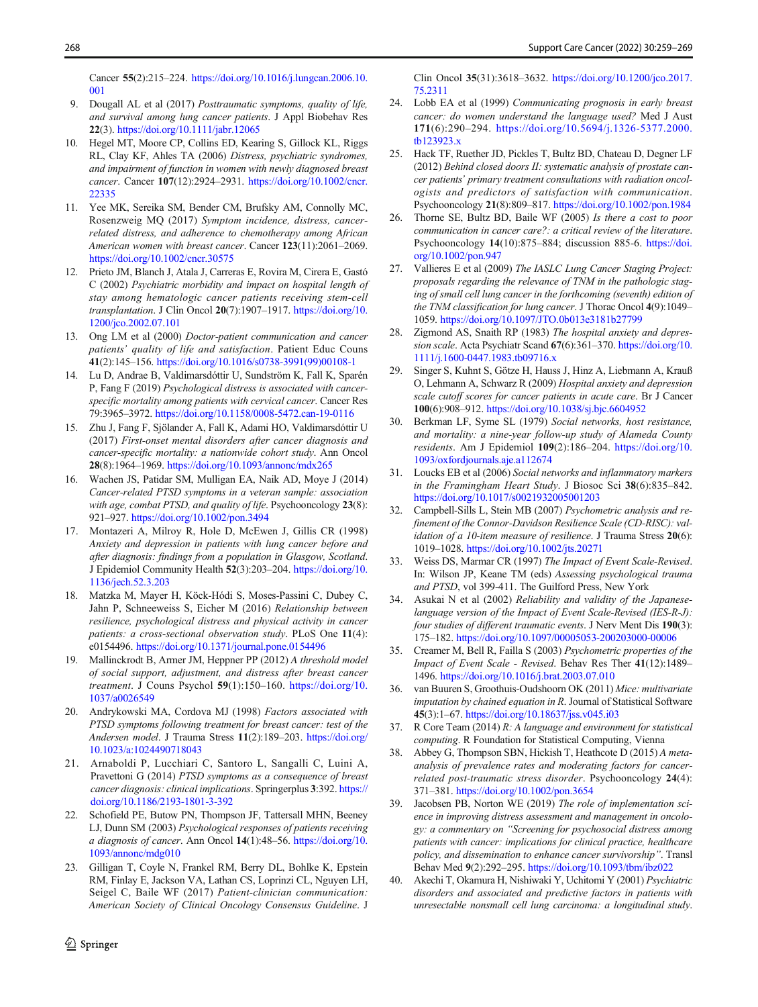<span id="page-9-0"></span>Cancer 55(2):215–224. [https://doi.org/10.1016/j.lungcan.2006.10.](https://doi.org/10.1016/j.lungcan.2006.10.001) [001](https://doi.org/10.1016/j.lungcan.2006.10.001)

- 9. Dougall AL et al (2017) Posttraumatic symptoms, quality of life, and survival among lung cancer patients. J Appl Biobehav Res 22(3). <https://doi.org/10.1111/jabr.12065>
- 10. Hegel MT, Moore CP, Collins ED, Kearing S, Gillock KL, Riggs RL, Clay KF, Ahles TA (2006) Distress, psychiatric syndromes, and impairment of function in women with newly diagnosed breast cancer. Cancer 107(12):2924–2931. [https://doi.org/10.1002/cncr.](https://doi.org/10.1002/cncr.22335) [22335](https://doi.org/10.1002/cncr.22335)
- 11. Yee MK, Sereika SM, Bender CM, Brufsky AM, Connolly MC, Rosenzweig MQ (2017) Symptom incidence, distress, cancerrelated distress, and adherence to chemotherapy among African American women with breast cancer. Cancer 123(11):2061–2069. <https://doi.org/10.1002/cncr.30575>
- 12. Prieto JM, Blanch J, Atala J, Carreras E, Rovira M, Cirera E, Gastó C (2002) Psychiatric morbidity and impact on hospital length of stay among hematologic cancer patients receiving stem-cell transplantation. J Clin Oncol 20(7):1907-1917. [https://doi.org/10.](https://doi.org/10.1200/jco.2002.07.101) [1200/jco.2002.07.101](https://doi.org/10.1200/jco.2002.07.101)
- 13. Ong LM et al (2000) Doctor-patient communication and cancer patients' quality of life and satisfaction. Patient Educ Couns 41(2):145–156. [https://doi.org/10.1016/s0738-3991\(99\)00108-1](https://doi.org/10.1016/s0738-3991(99)00108-1)
- 14. Lu D, Andrae B, Valdimarsdóttir U, Sundström K, Fall K, Sparén P, Fang F (2019) Psychological distress is associated with cancerspecific mortality among patients with cervical cancer. Cancer Res 79:3965–3972. <https://doi.org/10.1158/0008-5472.can-19-0116>
- 15. Zhu J, Fang F, Sjölander A, Fall K, Adami HO, Valdimarsdóttir U (2017) First-onset mental disorders after cancer diagnosis and cancer-specific mortality: a nationwide cohort study. Ann Oncol 28(8):1964–1969. <https://doi.org/10.1093/annonc/mdx265>
- 16. Wachen JS, Patidar SM, Mulligan EA, Naik AD, Moye J (2014) Cancer-related PTSD symptoms in a veteran sample: association with age, combat PTSD, and quality of life. Psychooncology 23(8): 921–927. <https://doi.org/10.1002/pon.3494>
- 17. Montazeri A, Milroy R, Hole D, McEwen J, Gillis CR (1998) Anxiety and depression in patients with lung cancer before and after diagnosis: findings from a population in Glasgow, Scotland. J Epidemiol Community Health 52(3):203–204. [https://doi.org/10.](https://doi.org/10.1136/jech.52.3.203) [1136/jech.52.3.203](https://doi.org/10.1136/jech.52.3.203)
- 18. Matzka M, Mayer H, Köck-Hódi S, Moses-Passini C, Dubey C, Jahn P, Schneeweiss S, Eicher M (2016) Relationship between resilience, psychological distress and physical activity in cancer patients: a cross-sectional observation study. PLoS One 11(4): e0154496. <https://doi.org/10.1371/journal.pone.0154496>
- 19. Mallinckrodt B, Armer JM, Heppner PP (2012) A threshold model of social support, adjustment, and distress after breast cancer treatment. J Couns Psychol 59(1):150-160. [https://doi.org/10.](https://doi.org/10.1037/a0026549) [1037/a0026549](https://doi.org/10.1037/a0026549)
- 20. Andrykowski MA, Cordova MJ (1998) Factors associated with PTSD symptoms following treatment for breast cancer: test of the Andersen model. J Trauma Stress 11(2):189–203. [https://doi.org/](https://doi.org/10.1023/a:1024490718043) [10.1023/a:1024490718043](https://doi.org/10.1023/a:1024490718043)
- 21. Arnaboldi P, Lucchiari C, Santoro L, Sangalli C, Luini A, Pravettoni G (2014) PTSD symptoms as a consequence of breast cancer diagnosis: clinical implications. Springerplus 3:392. [https://](https://doi.org/10.1186/2193-1801-3-392) [doi.org/10.1186/2193-1801-3-392](https://doi.org/10.1186/2193-1801-3-392)
- Schofield PE, Butow PN, Thompson JF, Tattersall MHN, Beeney LJ, Dunn SM (2003) Psychological responses of patients receiving a diagnosis of cancer. Ann Oncol 14(1):48–56. [https://doi.org/10.](https://doi.org/10.1093/annonc/mdg010) [1093/annonc/mdg010](https://doi.org/10.1093/annonc/mdg010)
- 23. Gilligan T, Coyle N, Frankel RM, Berry DL, Bohlke K, Epstein RM, Finlay E, Jackson VA, Lathan CS, Loprinzi CL, Nguyen LH, Seigel C, Baile WF (2017) Patient-clinician communication: American Society of Clinical Oncology Consensus Guideline. J

Clin Oncol 35(31):3618–3632. [https://doi.org/10.1200/jco.2017.](https://doi.org/10.1200/jco.2017.75.2311) [75.2311](https://doi.org/10.1200/jco.2017.75.2311)

- 24. Lobb EA et al (1999) Communicating prognosis in early breast cancer: do women understand the language used? Med J Aust 171(6):290–294. [https://doi.org/10.5694/j.1326-5377.2000.](https://doi.org/10.5694/j.1326-5377.2000.tb123923.x) [tb123923.x](https://doi.org/10.5694/j.1326-5377.2000.tb123923.x)
- 25. Hack TF, Ruether JD, Pickles T, Bultz BD, Chateau D, Degner LF (2012) Behind closed doors II: systematic analysis of prostate cancer patients' primary treatment consultations with radiation oncologists and predictors of satisfaction with communication. Psychooncology 21(8):809–817. <https://doi.org/10.1002/pon.1984>
- 26. Thorne SE, Bultz BD, Baile WF (2005) Is there a cost to poor communication in cancer care?: a critical review of the literature. Psychooncology 14(10):875–884; discussion 885-6. [https://doi.](https://doi.org/10.1002/pon.947) [org/10.1002/pon.947](https://doi.org/10.1002/pon.947)
- 27. Vallieres E et al (2009) The IASLC Lung Cancer Staging Project: proposals regarding the relevance of TNM in the pathologic staging of small cell lung cancer in the forthcoming (seventh) edition of the TNM classification for lung cancer. J Thorac Oncol 4(9):1049– 1059. <https://doi.org/10.1097/JTO.0b013e3181b27799>
- 28. Zigmond AS, Snaith RP (1983) The hospital anxiety and depression scale. Acta Psychiatr Scand 67(6):361-370. [https://doi.org/10.](https://doi.org/10.1111/j.1600-0447.1983.tb09716.x) [1111/j.1600-0447.1983.tb09716.x](https://doi.org/10.1111/j.1600-0447.1983.tb09716.x)
- 29. Singer S, Kuhnt S, Götze H, Hauss J, Hinz A, Liebmann A, Krauß O, Lehmann A, Schwarz R (2009) Hospital anxiety and depression scale cutoff scores for cancer patients in acute care. Br J Cancer 100(6):908–912. <https://doi.org/10.1038/sj.bjc.6604952>
- 30. Berkman LF, Syme SL (1979) Social networks, host resistance, and mortality: a nine-year follow-up study of Alameda County residents. Am J Epidemiol 109(2):186–204. [https://doi.org/10.](https://doi.org/10.1093/oxfordjournals.aje.a112674) [1093/oxfordjournals.aje.a112674](https://doi.org/10.1093/oxfordjournals.aje.a112674)
- 31. Loucks EB et al (2006) Social networks and inflammatory markers in the Framingham Heart Study. J Biosoc Sci 38(6):835–842. <https://doi.org/10.1017/s0021932005001203>
- 32. Campbell-Sills L, Stein MB (2007) Psychometric analysis and refinement of the Connor-Davidson Resilience Scale (CD-RISC): validation of a 10-item measure of resilience. J Trauma Stress  $20(6)$ : 1019–1028. <https://doi.org/10.1002/jts.20271>
- 33. Weiss DS, Marmar CR (1997) The Impact of Event Scale-Revised. In: Wilson JP, Keane TM (eds) Assessing psychological trauma and PTSD, vol 399-411. The Guilford Press, New York
- 34. Asukai N et al (2002) Reliability and validity of the Japaneselanguage version of the Impact of Event Scale-Revised (IES-R-J): four studies of different traumatic events. J Nerv Ment Dis 190(3): 175–182. <https://doi.org/10.1097/00005053-200203000-00006>
- 35. Creamer M, Bell R, Failla S (2003) Psychometric properties of the Impact of Event Scale - Revised. Behav Res Ther 41(12):1489– 1496. <https://doi.org/10.1016/j.brat.2003.07.010>
- 36. van Buuren S, Groothuis-Oudshoorn OK (2011) Mice: multivariate imputation by chained equation in R. Journal of Statistical Software 45(3):1–67. <https://doi.org/10.18637/jss.v045.i03>
- 37. R Core Team (2014) R: A language and environment for statistical computing. R Foundation for Statistical Computing, Vienna
- 38. Abbey G, Thompson SBN, Hickish T, Heathcote D (2015) A metaanalysis of prevalence rates and moderating factors for cancerrelated post-traumatic stress disorder. Psychooncology 24(4): 371–381. <https://doi.org/10.1002/pon.3654>
- 39. Jacobsen PB, Norton WE (2019) The role of implementation science in improving distress assessment and management in oncology: a commentary on "Screening for psychosocial distress among patients with cancer: implications for clinical practice, healthcare policy, and dissemination to enhance cancer survivorship". Transl Behav Med 9(2):292–295. <https://doi.org/10.1093/tbm/ibz022>
- 40. Akechi T, Okamura H, Nishiwaki Y, Uchitomi Y (2001) Psychiatric disorders and associated and predictive factors in patients with unresectable nonsmall cell lung carcinoma: a longitudinal study.